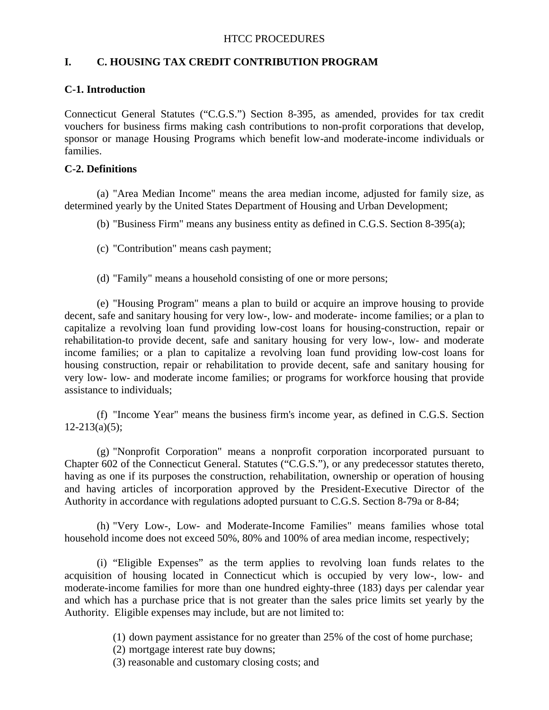# **I. C. HOUSING TAX CREDIT CONTRIBUTION PROGRAM**

## **C-1. Introduction**

Connecticut General Statutes ("C.G.S.") Section 8-395, as amended, provides for tax credit vouchers for business firms making cash contributions to non-profit corporations that develop, sponsor or manage Housing Programs which benefit low-and moderate-income individuals or families.

### **C-2. Definitions**

 (a) "Area Median Income" means the area median income, adjusted for family size, as determined yearly by the United States Department of Housing and Urban Development;

(b) "Business Firm" means any business entity as defined in C.G.S. Section 8-395(a);

(c) "Contribution" means cash payment;

(d) "Family" means a household consisting of one or more persons;

 (e) "Housing Program" means a plan to build or acquire an improve housing to provide decent, safe and sanitary housing for very low-, low- and moderate- income families; or a plan to capitalize a revolving loan fund providing low-cost loans for housing-construction, repair or rehabilitation-to provide decent, safe and sanitary housing for very low-, low- and moderate income families; or a plan to capitalize a revolving loan fund providing low-cost loans for housing construction, repair or rehabilitation to provide decent, safe and sanitary housing for very low- low- and moderate income families; or programs for workforce housing that provide assistance to individuals;

 (f) "Income Year" means the business firm's income year, as defined in C.G.S. Section  $12 - 213(a)(5)$ ;

 (g) "Nonprofit Corporation" means a nonprofit corporation incorporated pursuant to Chapter 602 of the Connecticut General. Statutes ("C.G.S."), or any predecessor statutes thereto, having as one if its purposes the construction, rehabilitation, ownership or operation of housing and having articles of incorporation approved by the President-Executive Director of the Authority in accordance with regulations adopted pursuant to C.G.S. Section 8-79a or 8-84;

 (h) "Very Low-, Low- and Moderate-Income Families" means families whose total household income does not exceed 50%, 80% and 100% of area median income, respectively;

 (i) "Eligible Expenses" as the term applies to revolving loan funds relates to the acquisition of housing located in Connecticut which is occupied by very low-, low- and moderate-income families for more than one hundred eighty-three (183) days per calendar year and which has a purchase price that is not greater than the sales price limits set yearly by the Authority. Eligible expenses may include, but are not limited to:

(1) down payment assistance for no greater than 25% of the cost of home purchase;

(2) mortgage interest rate buy downs;

(3) reasonable and customary closing costs; and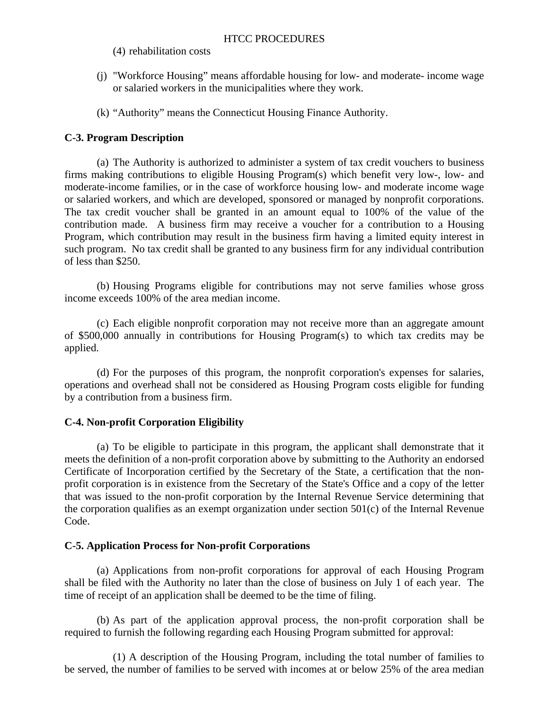(4) rehabilitation costs

- (j) "Workforce Housing" means affordable housing for low- and moderate- income wage or salaried workers in the municipalities where they work.
- (k) "Authority" means the Connecticut Housing Finance Authority.

## **C-3. Program Description**

 (a) The Authority is authorized to administer a system of tax credit vouchers to business firms making contributions to eligible Housing Program(s) which benefit very low-, low- and moderate-income families, or in the case of workforce housing low- and moderate income wage or salaried workers, and which are developed, sponsored or managed by nonprofit corporations. The tax credit voucher shall be granted in an amount equal to 100% of the value of the contribution made. A business firm may receive a voucher for a contribution to a Housing Program, which contribution may result in the business firm having a limited equity interest in such program. No tax credit shall be granted to any business firm for any individual contribution of less than \$250.

 (b) Housing Programs eligible for contributions may not serve families whose gross income exceeds 100% of the area median income.

 (c) Each eligible nonprofit corporation may not receive more than an aggregate amount of \$500,000 annually in contributions for Housing Program(s) to which tax credits may be applied.

 (d) For the purposes of this program, the nonprofit corporation's expenses for salaries, operations and overhead shall not be considered as Housing Program costs eligible for funding by a contribution from a business firm.

## **C-4. Non-profit Corporation Eligibility**

 (a) To be eligible to participate in this program, the applicant shall demonstrate that it meets the definition of a non-profit corporation above by submitting to the Authority an endorsed Certificate of Incorporation certified by the Secretary of the State, a certification that the nonprofit corporation is in existence from the Secretary of the State's Office and a copy of the letter that was issued to the non-profit corporation by the Internal Revenue Service determining that the corporation qualifies as an exempt organization under section 501(c) of the Internal Revenue Code.

## **C-5. Application Process for Non-profit Corporations**

 (a) Applications from non-profit corporations for approval of each Housing Program shall be filed with the Authority no later than the close of business on July 1 of each year. The time of receipt of an application shall be deemed to be the time of filing.

 (b) As part of the application approval process, the non-profit corporation shall be required to furnish the following regarding each Housing Program submitted for approval:

 (1) A description of the Housing Program, including the total number of families to be served, the number of families to be served with incomes at or below 25% of the area median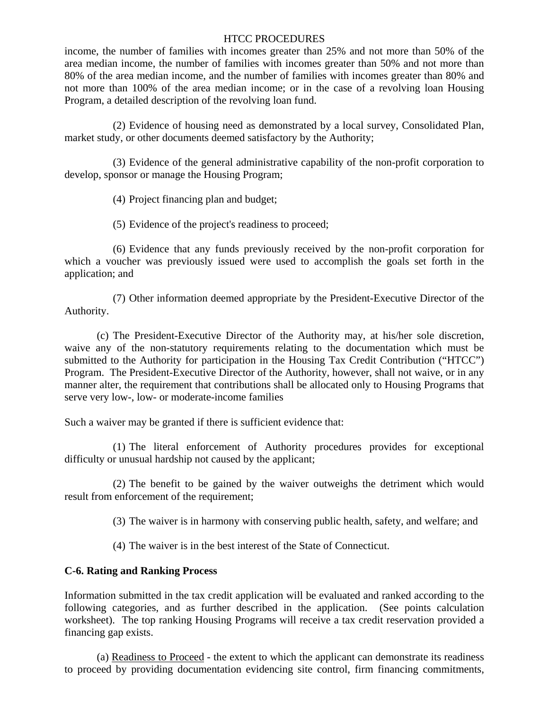income, the number of families with incomes greater than 25% and not more than 50% of the area median income, the number of families with incomes greater than 50% and not more than 80% of the area median income, and the number of families with incomes greater than 80% and not more than 100% of the area median income; or in the case of a revolving loan Housing Program, a detailed description of the revolving loan fund.

 (2) Evidence of housing need as demonstrated by a local survey, Consolidated Plan, market study, or other documents deemed satisfactory by the Authority;

 (3) Evidence of the general administrative capability of the non-profit corporation to develop, sponsor or manage the Housing Program;

(4) Project financing plan and budget;

(5) Evidence of the project's readiness to proceed;

 (6) Evidence that any funds previously received by the non-profit corporation for which a voucher was previously issued were used to accomplish the goals set forth in the application; and

 (7) Other information deemed appropriate by the President-Executive Director of the Authority.

 (c) The President-Executive Director of the Authority may, at his/her sole discretion, waive any of the non-statutory requirements relating to the documentation which must be submitted to the Authority for participation in the Housing Tax Credit Contribution ("HTCC") Program. The President-Executive Director of the Authority, however, shall not waive, or in any manner alter, the requirement that contributions shall be allocated only to Housing Programs that serve very low-, low- or moderate-income families

Such a waiver may be granted if there is sufficient evidence that:

 (1) The literal enforcement of Authority procedures provides for exceptional difficulty or unusual hardship not caused by the applicant;

 (2) The benefit to be gained by the waiver outweighs the detriment which would result from enforcement of the requirement;

(3) The waiver is in harmony with conserving public health, safety, and welfare; and

(4) The waiver is in the best interest of the State of Connecticut.

## **C-6. Rating and Ranking Process**

Information submitted in the tax credit application will be evaluated and ranked according to the following categories, and as further described in the application. (See points calculation worksheet). The top ranking Housing Programs will receive a tax credit reservation provided a financing gap exists.

 (a) Readiness to Proceed - the extent to which the applicant can demonstrate its readiness to proceed by providing documentation evidencing site control, firm financing commitments,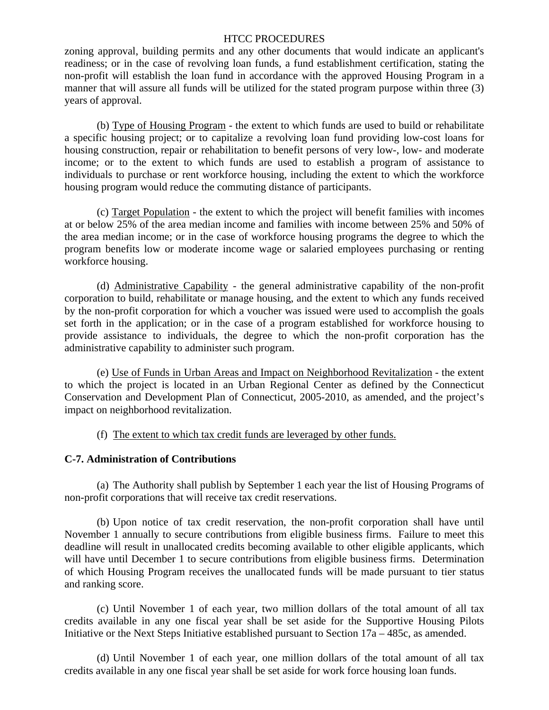zoning approval, building permits and any other documents that would indicate an applicant's readiness; or in the case of revolving loan funds, a fund establishment certification, stating the non-profit will establish the loan fund in accordance with the approved Housing Program in a manner that will assure all funds will be utilized for the stated program purpose within three (3) years of approval.

 (b) Type of Housing Program - the extent to which funds are used to build or rehabilitate a specific housing project; or to capitalize a revolving loan fund providing low-cost loans for housing construction, repair or rehabilitation to benefit persons of very low-, low- and moderate income; or to the extent to which funds are used to establish a program of assistance to individuals to purchase or rent workforce housing, including the extent to which the workforce housing program would reduce the commuting distance of participants.

 (c) Target Population - the extent to which the project will benefit families with incomes at or below 25% of the area median income and families with income between 25% and 50% of the area median income; or in the case of workforce housing programs the degree to which the program benefits low or moderate income wage or salaried employees purchasing or renting workforce housing.

 (d) Administrative Capability - the general administrative capability of the non-profit corporation to build, rehabilitate or manage housing, and the extent to which any funds received by the non-profit corporation for which a voucher was issued were used to accomplish the goals set forth in the application; or in the case of a program established for workforce housing to provide assistance to individuals, the degree to which the non-profit corporation has the administrative capability to administer such program.

 (e) Use of Funds in Urban Areas and Impact on Neighborhood Revitalization - the extent to which the project is located in an Urban Regional Center as defined by the Connecticut Conservation and Development Plan of Connecticut, 2005-2010, as amended, and the project's impact on neighborhood revitalization.

(f) The extent to which tax credit funds are leveraged by other funds.

### **C-7. Administration of Contributions**

(a) The Authority shall publish by September 1 each year the list of Housing Programs of non-profit corporations that will receive tax credit reservations.

 (b) Upon notice of tax credit reservation, the non-profit corporation shall have until November 1 annually to secure contributions from eligible business firms. Failure to meet this deadline will result in unallocated credits becoming available to other eligible applicants, which will have until December 1 to secure contributions from eligible business firms. Determination of which Housing Program receives the unallocated funds will be made pursuant to tier status and ranking score.

 (c) Until November 1 of each year, two million dollars of the total amount of all tax credits available in any one fiscal year shall be set aside for the Supportive Housing Pilots Initiative or the Next Steps Initiative established pursuant to Section 17a – 485c, as amended.

 (d) Until November 1 of each year, one million dollars of the total amount of all tax credits available in any one fiscal year shall be set aside for work force housing loan funds.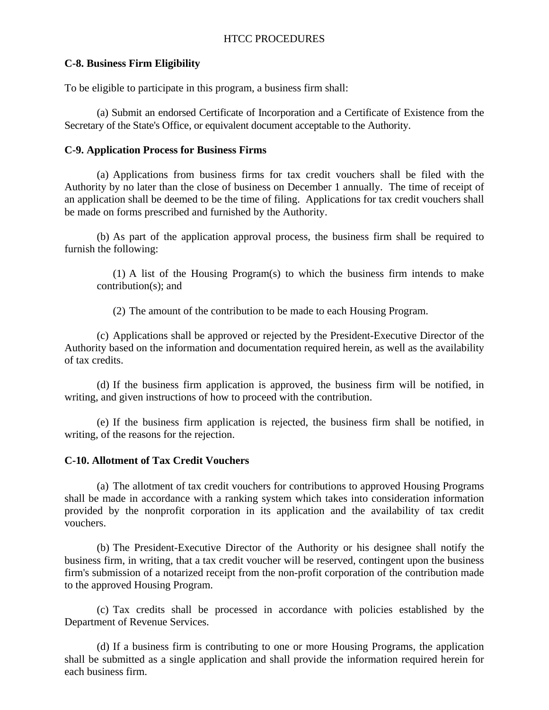## **C-8. Business Firm Eligibility**

To be eligible to participate in this program, a business firm shall:

 (a) Submit an endorsed Certificate of Incorporation and a Certificate of Existence from the Secretary of the State's Office, or equivalent document acceptable to the Authority.

## **C-9. Application Process for Business Firms**

 (a) Applications from business firms for tax credit vouchers shall be filed with the Authority by no later than the close of business on December 1 annually. The time of receipt of an application shall be deemed to be the time of filing. Applications for tax credit vouchers shall be made on forms prescribed and furnished by the Authority.

 (b) As part of the application approval process, the business firm shall be required to furnish the following:

 (1) A list of the Housing Program(s) to which the business firm intends to make contribution(s); and

(2) The amount of the contribution to be made to each Housing Program.

 (c) Applications shall be approved or rejected by the President-Executive Director of the Authority based on the information and documentation required herein, as well as the availability of tax credits.

 (d) If the business firm application is approved, the business firm will be notified, in writing, and given instructions of how to proceed with the contribution.

 (e) If the business firm application is rejected, the business firm shall be notified, in writing, of the reasons for the rejection.

## **C-10. Allotment of Tax Credit Vouchers**

 (a) The allotment of tax credit vouchers for contributions to approved Housing Programs shall be made in accordance with a ranking system which takes into consideration information provided by the nonprofit corporation in its application and the availability of tax credit vouchers.

 (b) The President-Executive Director of the Authority or his designee shall notify the business firm, in writing, that a tax credit voucher will be reserved, contingent upon the business firm's submission of a notarized receipt from the non-profit corporation of the contribution made to the approved Housing Program.

 (c) Tax credits shall be processed in accordance with policies established by the Department of Revenue Services.

 (d) If a business firm is contributing to one or more Housing Programs, the application shall be submitted as a single application and shall provide the information required herein for each business firm.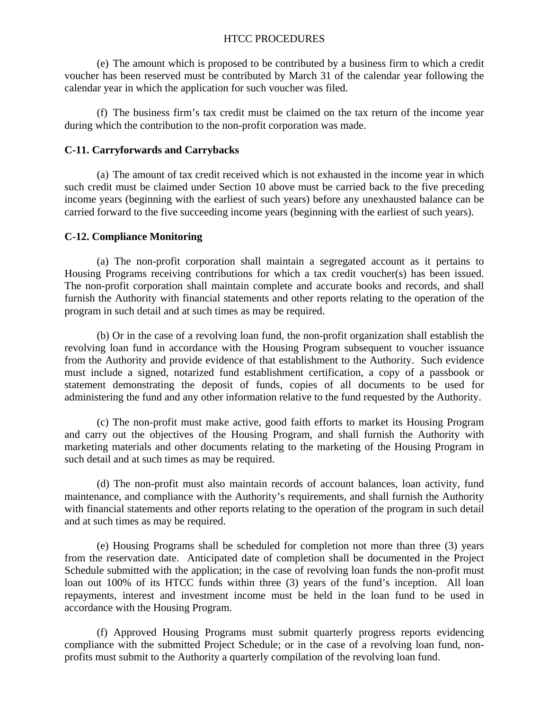(e) The amount which is proposed to be contributed by a business firm to which a credit voucher has been reserved must be contributed by March 31 of the calendar year following the calendar year in which the application for such voucher was filed.

 (f) The business firm's tax credit must be claimed on the tax return of the income year during which the contribution to the non-profit corporation was made.

# **C-11. Carryforwards and Carrybacks**

 (a) The amount of tax credit received which is not exhausted in the income year in which such credit must be claimed under Section 10 above must be carried back to the five preceding income years (beginning with the earliest of such years) before any unexhausted balance can be carried forward to the five succeeding income years (beginning with the earliest of such years).

# **C-12. Compliance Monitoring**

 (a) The non-profit corporation shall maintain a segregated account as it pertains to Housing Programs receiving contributions for which a tax credit voucher(s) has been issued. The non-profit corporation shall maintain complete and accurate books and records, and shall furnish the Authority with financial statements and other reports relating to the operation of the program in such detail and at such times as may be required.

 (b) Or in the case of a revolving loan fund, the non-profit organization shall establish the revolving loan fund in accordance with the Housing Program subsequent to voucher issuance from the Authority and provide evidence of that establishment to the Authority. Such evidence must include a signed, notarized fund establishment certification, a copy of a passbook or statement demonstrating the deposit of funds, copies of all documents to be used for administering the fund and any other information relative to the fund requested by the Authority.

(c) The non-profit must make active, good faith efforts to market its Housing Program and carry out the objectives of the Housing Program, and shall furnish the Authority with marketing materials and other documents relating to the marketing of the Housing Program in such detail and at such times as may be required.

(d) The non-profit must also maintain records of account balances, loan activity, fund maintenance, and compliance with the Authority's requirements, and shall furnish the Authority with financial statements and other reports relating to the operation of the program in such detail and at such times as may be required.

 (e) Housing Programs shall be scheduled for completion not more than three (3) years from the reservation date. Anticipated date of completion shall be documented in the Project Schedule submitted with the application; in the case of revolving loan funds the non-profit must loan out 100% of its HTCC funds within three (3) years of the fund's inception. All loan repayments, interest and investment income must be held in the loan fund to be used in accordance with the Housing Program.

 (f) Approved Housing Programs must submit quarterly progress reports evidencing compliance with the submitted Project Schedule; or in the case of a revolving loan fund, nonprofits must submit to the Authority a quarterly compilation of the revolving loan fund.